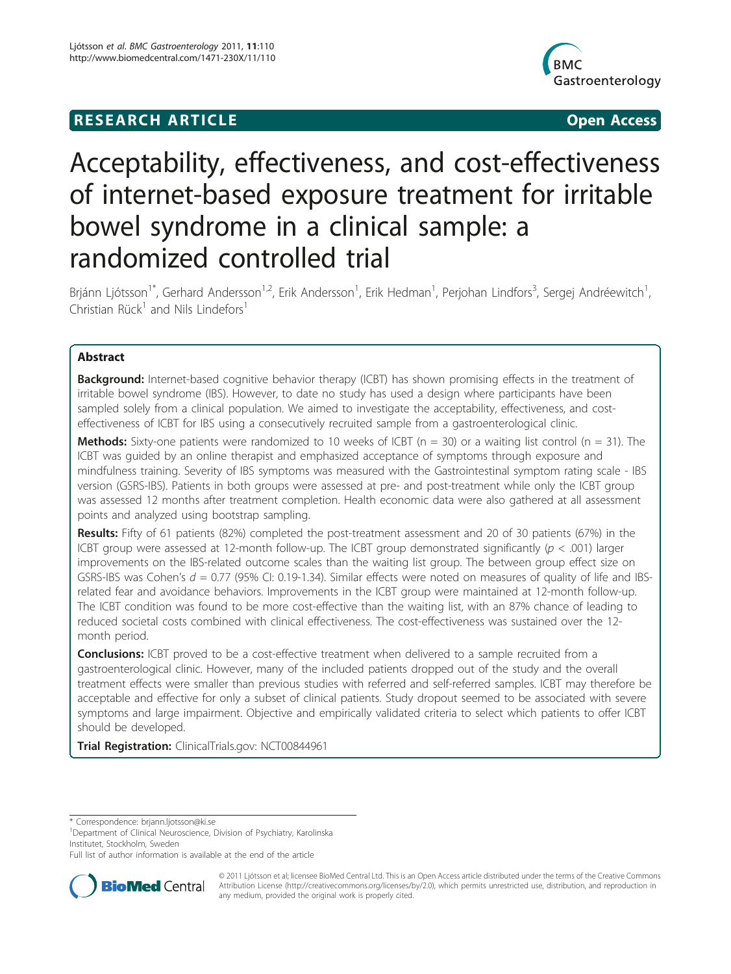# **RESEARCH ARTICLE Example 2018 12:00 Open Access**



# Acceptability, effectiveness, and cost-effectiveness of internet-based exposure treatment for irritable bowel syndrome in a clinical sample: a randomized controlled trial

Brjánn Ljótsson<sup>1\*</sup>, Gerhard Andersson<sup>1,2</sup>, Erik Andersson<sup>1</sup>, Erik Hedman<sup>1</sup>, Perjohan Lindfors<sup>3</sup>, Sergej Andréewitch<sup>1</sup> , Christian Rück<sup>1</sup> and Nils Lindefors<sup>1</sup>

# Abstract

**Background:** Internet-based cognitive behavior therapy (ICBT) has shown promising effects in the treatment of irritable bowel syndrome (IBS). However, to date no study has used a design where participants have been sampled solely from a clinical population. We aimed to investigate the acceptability, effectiveness, and costeffectiveness of ICBT for IBS using a consecutively recruited sample from a gastroenterological clinic.

**Methods:** Sixty-one patients were randomized to 10 weeks of ICBT ( $n = 30$ ) or a waiting list control ( $n = 31$ ). The ICBT was guided by an online therapist and emphasized acceptance of symptoms through exposure and mindfulness training. Severity of IBS symptoms was measured with the Gastrointestinal symptom rating scale - IBS version (GSRS-IBS). Patients in both groups were assessed at pre- and post-treatment while only the ICBT group was assessed 12 months after treatment completion. Health economic data were also gathered at all assessment points and analyzed using bootstrap sampling.

Results: Fifty of 61 patients (82%) completed the post-treatment assessment and 20 of 30 patients (67%) in the ICBT group were assessed at 12-month follow-up. The ICBT group demonstrated significantly ( $p < .001$ ) larger improvements on the IBS-related outcome scales than the waiting list group. The between group effect size on GSRS-IBS was Cohen's  $d = 0.77$  (95% CI: 0.19-1.34). Similar effects were noted on measures of quality of life and IBSrelated fear and avoidance behaviors. Improvements in the ICBT group were maintained at 12-month follow-up. The ICBT condition was found to be more cost-effective than the waiting list, with an 87% chance of leading to reduced societal costs combined with clinical effectiveness. The cost-effectiveness was sustained over the 12 month period.

**Conclusions:** ICBT proved to be a cost-effective treatment when delivered to a sample recruited from a gastroenterological clinic. However, many of the included patients dropped out of the study and the overall treatment effects were smaller than previous studies with referred and self-referred samples. ICBT may therefore be acceptable and effective for only a subset of clinical patients. Study dropout seemed to be associated with severe symptoms and large impairment. Objective and empirically validated criteria to select which patients to offer ICBT should be developed.

Trial Registration: ClinicalTrials.gov: [NCT00844961](http://www.clinicaltrials.gov/ct2/show/NCT00844961)

\* Correspondence: [brjann.ljotsson@ki.se](mailto:brjann.ljotsson@ki.se)

<sup>1</sup> Department of Clinical Neuroscience, Division of Psychiatry, Karolinska Institutet, Stockholm, Sweden

Full list of author information is available at the end of the article



© 2011 Ljótsson et al; licensee BioMed Central Ltd. This is an Open Access article distributed under the terms of the Creative Commons Attribution License [\(http://creativecommons.org/licenses/by/2.0](http://creativecommons.org/licenses/by/2.0)), which permits unrestricted use, distribution, and reproduction in any medium, provided the original work is properly cited.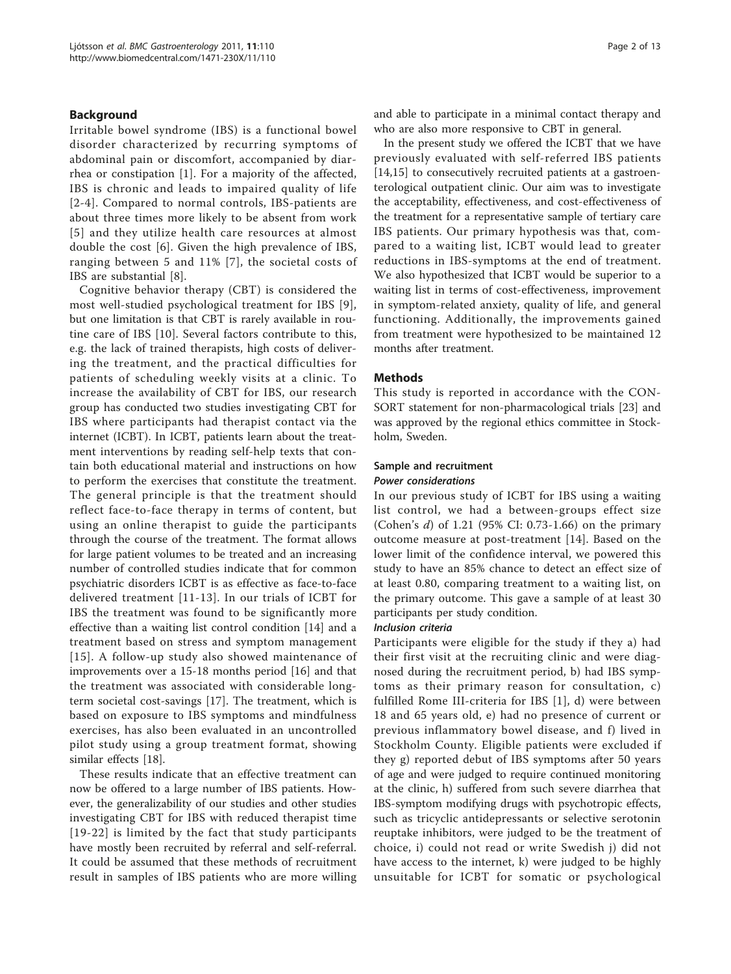# Background

Irritable bowel syndrome (IBS) is a functional bowel disorder characterized by recurring symptoms of abdominal pain or discomfort, accompanied by diarrhea or constipation [\[1](#page-10-0)]. For a majority of the affected, IBS is chronic and leads to impaired quality of life [[2](#page-10-0)-[4](#page-10-0)]. Compared to normal controls, IBS-patients are about three times more likely to be absent from work [[5\]](#page-10-0) and they utilize health care resources at almost double the cost [\[6\]](#page-10-0). Given the high prevalence of IBS, ranging between 5 and 11% [[7](#page-10-0)], the societal costs of IBS are substantial [[8\]](#page-10-0).

Cognitive behavior therapy (CBT) is considered the most well-studied psychological treatment for IBS [[9\]](#page-10-0), but one limitation is that CBT is rarely available in routine care of IBS [[10\]](#page-10-0). Several factors contribute to this, e.g. the lack of trained therapists, high costs of delivering the treatment, and the practical difficulties for patients of scheduling weekly visits at a clinic. To increase the availability of CBT for IBS, our research group has conducted two studies investigating CBT for IBS where participants had therapist contact via the internet (ICBT). In ICBT, patients learn about the treatment interventions by reading self-help texts that contain both educational material and instructions on how to perform the exercises that constitute the treatment. The general principle is that the treatment should reflect face-to-face therapy in terms of content, but using an online therapist to guide the participants through the course of the treatment. The format allows for large patient volumes to be treated and an increasing number of controlled studies indicate that for common psychiatric disorders ICBT is as effective as face-to-face delivered treatment [[11](#page-10-0)-[13](#page-10-0)]. In our trials of ICBT for IBS the treatment was found to be significantly more effective than a waiting list control condition [\[14](#page-10-0)] and a treatment based on stress and symptom management [[15\]](#page-10-0). A follow-up study also showed maintenance of improvements over a 15-18 months period [\[16\]](#page-10-0) and that the treatment was associated with considerable longterm societal cost-savings [[17\]](#page-10-0). The treatment, which is based on exposure to IBS symptoms and mindfulness exercises, has also been evaluated in an uncontrolled pilot study using a group treatment format, showing similar effects [[18](#page-10-0)].

These results indicate that an effective treatment can now be offered to a large number of IBS patients. However, the generalizability of our studies and other studies investigating CBT for IBS with reduced therapist time [[19-](#page-10-0)[22](#page-11-0)] is limited by the fact that study participants have mostly been recruited by referral and self-referral. It could be assumed that these methods of recruitment result in samples of IBS patients who are more willing and able to participate in a minimal contact therapy and who are also more responsive to CBT in general.

In the present study we offered the ICBT that we have previously evaluated with self-referred IBS patients [[14,15\]](#page-10-0) to consecutively recruited patients at a gastroenterological outpatient clinic. Our aim was to investigate the acceptability, effectiveness, and cost-effectiveness of the treatment for a representative sample of tertiary care IBS patients. Our primary hypothesis was that, compared to a waiting list, ICBT would lead to greater reductions in IBS-symptoms at the end of treatment. We also hypothesized that ICBT would be superior to a waiting list in terms of cost-effectiveness, improvement in symptom-related anxiety, quality of life, and general functioning. Additionally, the improvements gained from treatment were hypothesized to be maintained 12 months after treatment.

# **Methods**

This study is reported in accordance with the CON-SORT statement for non-pharmacological trials [\[23](#page-11-0)] and was approved by the regional ethics committee in Stockholm, Sweden.

# Sample and recruitment

# Power considerations

In our previous study of ICBT for IBS using a waiting list control, we had a between-groups effect size (Cohen's d) of 1.21 (95% CI: 0.73-1.66) on the primary outcome measure at post-treatment [\[14](#page-10-0)]. Based on the lower limit of the confidence interval, we powered this study to have an 85% chance to detect an effect size of at least 0.80, comparing treatment to a waiting list, on the primary outcome. This gave a sample of at least 30 participants per study condition.

# Inclusion criteria

Participants were eligible for the study if they a) had their first visit at the recruiting clinic and were diagnosed during the recruitment period, b) had IBS symptoms as their primary reason for consultation, c) fulfilled Rome III-criteria for IBS [[1\]](#page-10-0), d) were between 18 and 65 years old, e) had no presence of current or previous inflammatory bowel disease, and f) lived in Stockholm County. Eligible patients were excluded if they g) reported debut of IBS symptoms after 50 years of age and were judged to require continued monitoring at the clinic, h) suffered from such severe diarrhea that IBS-symptom modifying drugs with psychotropic effects, such as tricyclic antidepressants or selective serotonin reuptake inhibitors, were judged to be the treatment of choice, i) could not read or write Swedish j) did not have access to the internet, k) were judged to be highly unsuitable for ICBT for somatic or psychological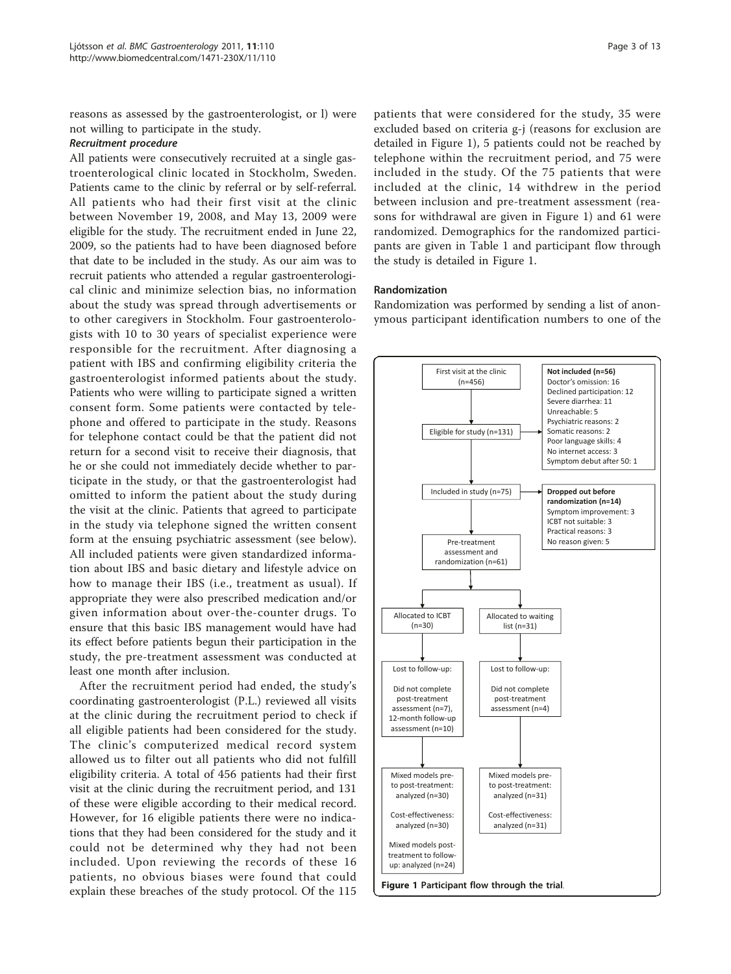reasons as assessed by the gastroenterologist, or l) were not willing to participate in the study.

# Recruitment procedure

All patients were consecutively recruited at a single gastroenterological clinic located in Stockholm, Sweden. Patients came to the clinic by referral or by self-referral. All patients who had their first visit at the clinic between November 19, 2008, and May 13, 2009 were eligible for the study. The recruitment ended in June 22, 2009, so the patients had to have been diagnosed before that date to be included in the study. As our aim was to recruit patients who attended a regular gastroenterological clinic and minimize selection bias, no information about the study was spread through advertisements or to other caregivers in Stockholm. Four gastroenterologists with 10 to 30 years of specialist experience were responsible for the recruitment. After diagnosing a patient with IBS and confirming eligibility criteria the gastroenterologist informed patients about the study. Patients who were willing to participate signed a written consent form. Some patients were contacted by telephone and offered to participate in the study. Reasons for telephone contact could be that the patient did not return for a second visit to receive their diagnosis, that he or she could not immediately decide whether to participate in the study, or that the gastroenterologist had omitted to inform the patient about the study during the visit at the clinic. Patients that agreed to participate in the study via telephone signed the written consent form at the ensuing psychiatric assessment (see below). All included patients were given standardized information about IBS and basic dietary and lifestyle advice on how to manage their IBS (i.e., treatment as usual). If appropriate they were also prescribed medication and/or given information about over-the-counter drugs. To ensure that this basic IBS management would have had its effect before patients begun their participation in the study, the pre-treatment assessment was conducted at least one month after inclusion.

After the recruitment period had ended, the study's coordinating gastroenterologist (P.L.) reviewed all visits at the clinic during the recruitment period to check if all eligible patients had been considered for the study. The clinic's computerized medical record system allowed us to filter out all patients who did not fulfill eligibility criteria. A total of 456 patients had their first visit at the clinic during the recruitment period, and 131 of these were eligible according to their medical record. However, for 16 eligible patients there were no indications that they had been considered for the study and it could not be determined why they had not been included. Upon reviewing the records of these 16 patients, no obvious biases were found that could explain these breaches of the study protocol. Of the 115

patients that were considered for the study, 35 were excluded based on criteria g-j (reasons for exclusion are detailed in Figure 1), 5 patients could not be reached by telephone within the recruitment period, and 75 were included in the study. Of the 75 patients that were included at the clinic, 14 withdrew in the period between inclusion and pre-treatment assessment (reasons for withdrawal are given in Figure 1) and 61 were randomized. Demographics for the randomized participants are given in Table [1](#page-3-0) and participant flow through the study is detailed in Figure 1.

#### Randomization

Randomization was performed by sending a list of anonymous participant identification numbers to one of the

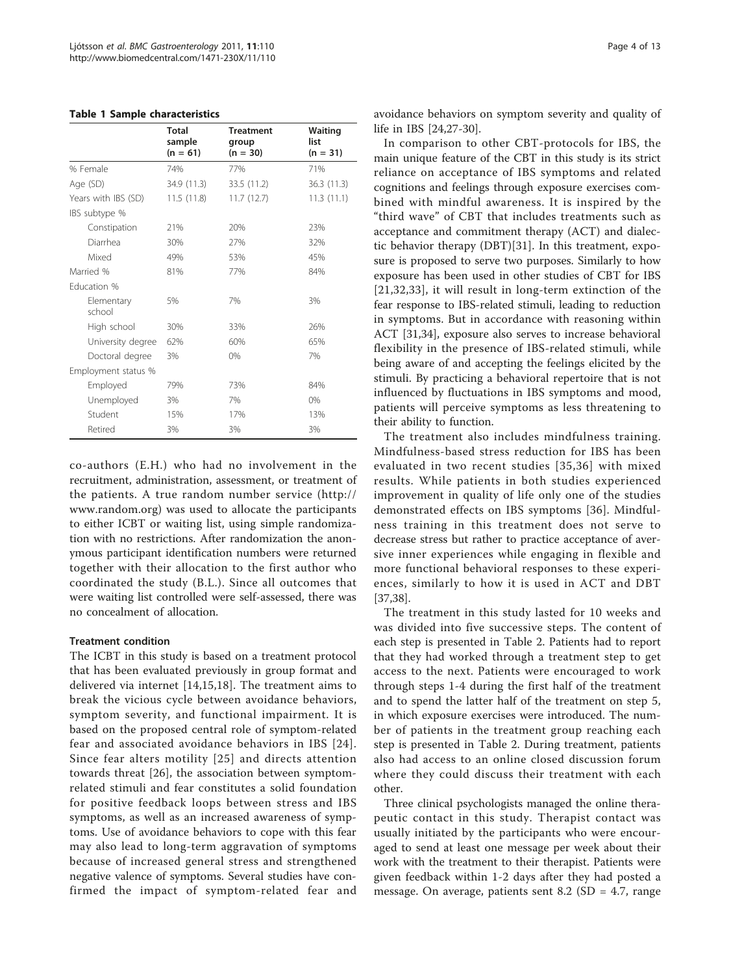<span id="page-3-0"></span>

|                      | <b>Total</b><br>sample<br>$(n = 61)$ | <b>Treatment</b><br>group<br>$(n = 30)$ | Waiting<br>list<br>$(n = 31)$ |
|----------------------|--------------------------------------|-----------------------------------------|-------------------------------|
| % Female             | 74%                                  | 77%                                     | 71%                           |
| Age (SD)             | 34.9 (11.3)                          | 33.5 (11.2)                             | 36.3 (11.3)                   |
| Years with IBS (SD)  | 11.5(11.8)                           | 11.7(12.7)                              | 11.3(11.1)                    |
| IBS subtype %        |                                      |                                         |                               |
| Constipation         | 21%                                  | 20%                                     | 23%                           |
| Diarrhea             | 30%                                  | 27%                                     | 32%                           |
| Mixed                | 49%                                  | 53%                                     | 45%                           |
| Married %            | 81%                                  | 77%                                     | 84%                           |
| Fducation %          |                                      |                                         |                               |
| Elementary<br>school | 5%                                   | 7%                                      | 3%                            |
| High school          | 30%                                  | 33%                                     | 26%                           |
| University degree    | 62%                                  | 60%                                     | 65%                           |
| Doctoral degree      | 3%                                   | 0%                                      | 7%                            |
| Employment status %  |                                      |                                         |                               |
| Employed             | 79%                                  | 73%                                     | 84%                           |
| Unemployed           | 3%                                   | 7%                                      | $0\%$                         |
| Student              | 15%                                  | 17%                                     | 13%                           |
| Retired              | 3%                                   | 3%                                      | 3%                            |

co-authors (E.H.) who had no involvement in the recruitment, administration, assessment, or treatment of the patients. A true random number service ([http://](http://www.random.org) [www.random.org\)](http://www.random.org) was used to allocate the participants to either ICBT or waiting list, using simple randomization with no restrictions. After randomization the anonymous participant identification numbers were returned together with their allocation to the first author who coordinated the study (B.L.). Since all outcomes that were waiting list controlled were self-assessed, there was no concealment of allocation.

#### Treatment condition

The ICBT in this study is based on a treatment protocol that has been evaluated previously in group format and delivered via internet [\[14](#page-10-0),[15,18\]](#page-10-0). The treatment aims to break the vicious cycle between avoidance behaviors, symptom severity, and functional impairment. It is based on the proposed central role of symptom-related fear and associated avoidance behaviors in IBS [[24\]](#page-11-0). Since fear alters motility [[25\]](#page-11-0) and directs attention towards threat [[26\]](#page-11-0), the association between symptomrelated stimuli and fear constitutes a solid foundation for positive feedback loops between stress and IBS symptoms, as well as an increased awareness of symptoms. Use of avoidance behaviors to cope with this fear may also lead to long-term aggravation of symptoms because of increased general stress and strengthened negative valence of symptoms. Several studies have confirmed the impact of symptom-related fear and

avoidance behaviors on symptom severity and quality of life in IBS [[24,27-30\]](#page-11-0).

In comparison to other CBT-protocols for IBS, the main unique feature of the CBT in this study is its strict reliance on acceptance of IBS symptoms and related cognitions and feelings through exposure exercises combined with mindful awareness. It is inspired by the "third wave" of CBT that includes treatments such as acceptance and commitment therapy (ACT) and dialectic behavior therapy (DBT)[\[31](#page-11-0)]. In this treatment, exposure is proposed to serve two purposes. Similarly to how exposure has been used in other studies of CBT for IBS [[21](#page-11-0),[32,33](#page-11-0)], it will result in long-term extinction of the fear response to IBS-related stimuli, leading to reduction in symptoms. But in accordance with reasoning within ACT [\[31,34](#page-11-0)], exposure also serves to increase behavioral flexibility in the presence of IBS-related stimuli, while being aware of and accepting the feelings elicited by the stimuli. By practicing a behavioral repertoire that is not influenced by fluctuations in IBS symptoms and mood, patients will perceive symptoms as less threatening to their ability to function.

The treatment also includes mindfulness training. Mindfulness-based stress reduction for IBS has been evaluated in two recent studies [[35,36](#page-11-0)] with mixed results. While patients in both studies experienced improvement in quality of life only one of the studies demonstrated effects on IBS symptoms [[36](#page-11-0)]. Mindfulness training in this treatment does not serve to decrease stress but rather to practice acceptance of aversive inner experiences while engaging in flexible and more functional behavioral responses to these experiences, similarly to how it is used in ACT and DBT [[37,38\]](#page-11-0).

The treatment in this study lasted for 10 weeks and was divided into five successive steps. The content of each step is presented in Table [2.](#page-4-0) Patients had to report that they had worked through a treatment step to get access to the next. Patients were encouraged to work through steps 1-4 during the first half of the treatment and to spend the latter half of the treatment on step 5, in which exposure exercises were introduced. The number of patients in the treatment group reaching each step is presented in Table [2.](#page-4-0) During treatment, patients also had access to an online closed discussion forum where they could discuss their treatment with each other.

Three clinical psychologists managed the online therapeutic contact in this study. Therapist contact was usually initiated by the participants who were encouraged to send at least one message per week about their work with the treatment to their therapist. Patients were given feedback within 1-2 days after they had posted a message. On average, patients sent 8.2 (SD = 4.7, range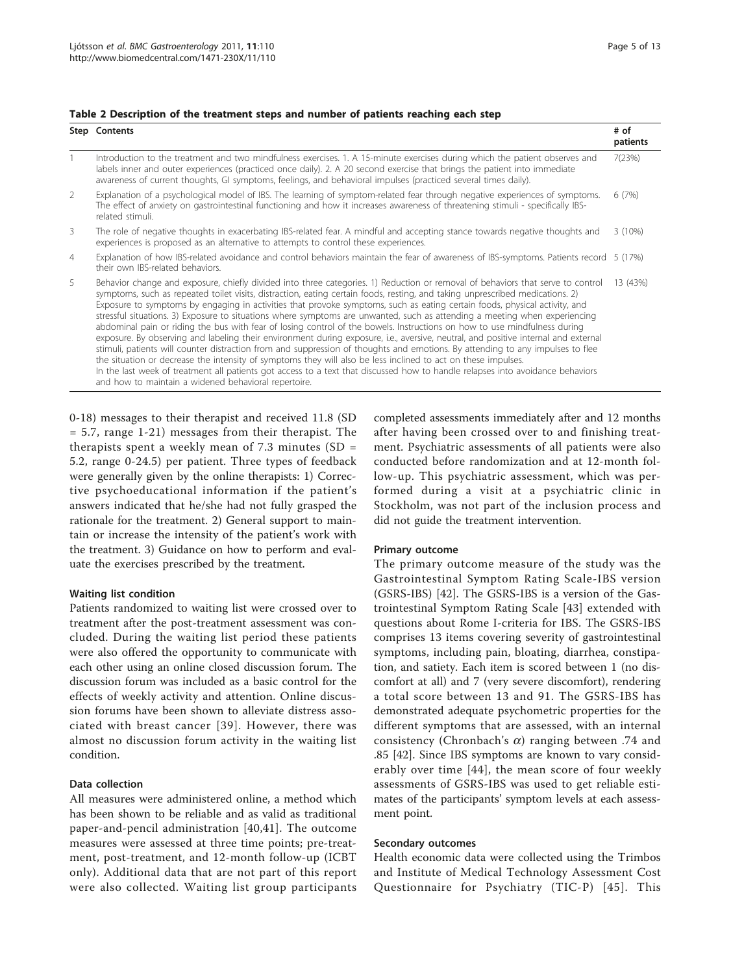#### <span id="page-4-0"></span>Table 2 Description of the treatment steps and number of patients reaching each step

|                | <b>Step Contents</b>                                                                                                                                                                                                                                                                                                                                                                                                                                                                                                                                                                                                                                                                                                                                                                                                                                                                                                                                                                                                                                                                                                                                                                                                                         | # of<br>patients |
|----------------|----------------------------------------------------------------------------------------------------------------------------------------------------------------------------------------------------------------------------------------------------------------------------------------------------------------------------------------------------------------------------------------------------------------------------------------------------------------------------------------------------------------------------------------------------------------------------------------------------------------------------------------------------------------------------------------------------------------------------------------------------------------------------------------------------------------------------------------------------------------------------------------------------------------------------------------------------------------------------------------------------------------------------------------------------------------------------------------------------------------------------------------------------------------------------------------------------------------------------------------------|------------------|
|                | Introduction to the treatment and two mindfulness exercises. 1. A 15-minute exercises during which the patient observes and<br>labels inner and outer experiences (practiced once daily). 2. A 20 second exercise that brings the patient into immediate<br>awareness of current thoughts, GI symptoms, feelings, and behavioral impulses (practiced several times daily).                                                                                                                                                                                                                                                                                                                                                                                                                                                                                                                                                                                                                                                                                                                                                                                                                                                                   | 7(23%)           |
| 2              | Explanation of a psychological model of IBS. The learning of symptom-related fear through negative experiences of symptoms.<br>The effect of anxiety on gastrointestinal functioning and how it increases awareness of threatening stimuli - specifically IBS-<br>related stimuli.                                                                                                                                                                                                                                                                                                                                                                                                                                                                                                                                                                                                                                                                                                                                                                                                                                                                                                                                                           | 6(7%)            |
| 3              | The role of negative thoughts in exacerbating IBS-related fear. A mindful and accepting stance towards negative thoughts and<br>experiences is proposed as an alternative to attempts to control these experiences.                                                                                                                                                                                                                                                                                                                                                                                                                                                                                                                                                                                                                                                                                                                                                                                                                                                                                                                                                                                                                          | $3(10\%)$        |
| $\overline{4}$ | Explanation of how IBS-related avoidance and control behaviors maintain the fear of awareness of IBS-symptoms. Patients record 5 (17%)<br>their own IBS-related behaviors.                                                                                                                                                                                                                                                                                                                                                                                                                                                                                                                                                                                                                                                                                                                                                                                                                                                                                                                                                                                                                                                                   |                  |
| 5              | Behavior change and exposure, chiefly divided into three categories. 1) Reduction or removal of behaviors that serve to control<br>symptoms, such as repeated toilet visits, distraction, eating certain foods, resting, and taking unprescribed medications. 2)<br>Exposure to symptoms by engaging in activities that provoke symptoms, such as eating certain foods, physical activity, and<br>stressful situations. 3) Exposure to situations where symptoms are unwanted, such as attending a meeting when experiencing<br>abdominal pain or riding the bus with fear of losing control of the bowels. Instructions on how to use mindfulness during<br>exposure. By observing and labeling their environment during exposure, i.e., aversive, neutral, and positive internal and external<br>stimuli, patients will counter distraction from and suppression of thoughts and emotions. By attending to any impulses to flee<br>the situation or decrease the intensity of symptoms they will also be less inclined to act on these impulses.<br>In the last week of treatment all patients got access to a text that discussed how to handle relapses into avoidance behaviors<br>and how to maintain a widened behavioral repertoire. | 13 (43%)         |

0-18) messages to their therapist and received 11.8 (SD = 5.7, range 1-21) messages from their therapist. The therapists spent a weekly mean of 7.3 minutes  $(SD =$ 5.2, range 0-24.5) per patient. Three types of feedback were generally given by the online therapists: 1) Corrective psychoeducational information if the patient's answers indicated that he/she had not fully grasped the rationale for the treatment. 2) General support to maintain or increase the intensity of the patient's work with the treatment. 3) Guidance on how to perform and evaluate the exercises prescribed by the treatment.

#### Waiting list condition

Patients randomized to waiting list were crossed over to treatment after the post-treatment assessment was concluded. During the waiting list period these patients were also offered the opportunity to communicate with each other using an online closed discussion forum. The discussion forum was included as a basic control for the effects of weekly activity and attention. Online discussion forums have been shown to alleviate distress associated with breast cancer [[39\]](#page-11-0). However, there was almost no discussion forum activity in the waiting list condition.

# Data collection

All measures were administered online, a method which has been shown to be reliable and as valid as traditional paper-and-pencil administration [[40,41](#page-11-0)]. The outcome measures were assessed at three time points; pre-treatment, post-treatment, and 12-month follow-up (ICBT only). Additional data that are not part of this report were also collected. Waiting list group participants

completed assessments immediately after and 12 months after having been crossed over to and finishing treatment. Psychiatric assessments of all patients were also conducted before randomization and at 12-month follow-up. This psychiatric assessment, which was performed during a visit at a psychiatric clinic in Stockholm, was not part of the inclusion process and did not guide the treatment intervention.

#### Primary outcome

The primary outcome measure of the study was the Gastrointestinal Symptom Rating Scale-IBS version (GSRS-IBS) [[42\]](#page-11-0). The GSRS-IBS is a version of the Gastrointestinal Symptom Rating Scale [[43\]](#page-11-0) extended with questions about Rome I-criteria for IBS. The GSRS-IBS comprises 13 items covering severity of gastrointestinal symptoms, including pain, bloating, diarrhea, constipation, and satiety. Each item is scored between 1 (no discomfort at all) and 7 (very severe discomfort), rendering a total score between 13 and 91. The GSRS-IBS has demonstrated adequate psychometric properties for the different symptoms that are assessed, with an internal consistency (Chronbach's  $\alpha$ ) ranging between .74 and .85 [\[42](#page-11-0)]. Since IBS symptoms are known to vary considerably over time [[44\]](#page-11-0), the mean score of four weekly assessments of GSRS-IBS was used to get reliable estimates of the participants' symptom levels at each assessment point.

#### Secondary outcomes

Health economic data were collected using the Trimbos and Institute of Medical Technology Assessment Cost Questionnaire for Psychiatry (TIC-P) [[45\]](#page-11-0). This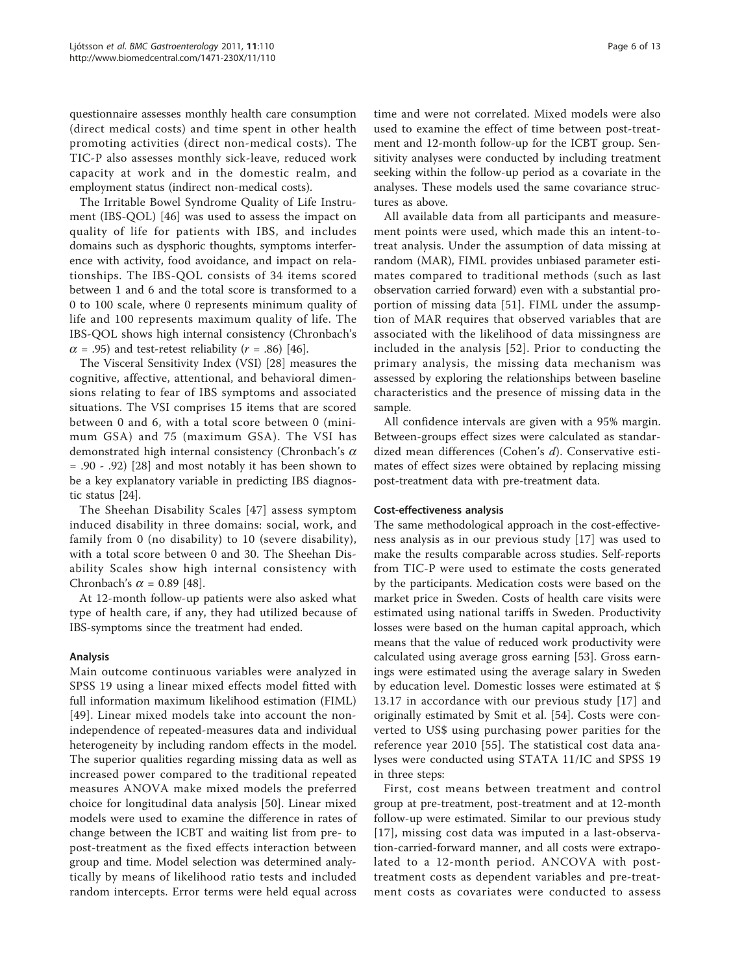questionnaire assesses monthly health care consumption (direct medical costs) and time spent in other health promoting activities (direct non-medical costs). The TIC-P also assesses monthly sick-leave, reduced work capacity at work and in the domestic realm, and employment status (indirect non-medical costs).

The Irritable Bowel Syndrome Quality of Life Instrument (IBS-QOL) [[46\]](#page-11-0) was used to assess the impact on quality of life for patients with IBS, and includes domains such as dysphoric thoughts, symptoms interference with activity, food avoidance, and impact on relationships. The IBS-QOL consists of 34 items scored between 1 and 6 and the total score is transformed to a 0 to 100 scale, where 0 represents minimum quality of life and 100 represents maximum quality of life. The IBS-QOL shows high internal consistency (Chronbach's  $\alpha$  = .95) and test-retest reliability (*r* = .86) [[46](#page-11-0)].

The Visceral Sensitivity Index (VSI) [[28\]](#page-11-0) measures the cognitive, affective, attentional, and behavioral dimensions relating to fear of IBS symptoms and associated situations. The VSI comprises 15 items that are scored between 0 and 6, with a total score between 0 (minimum GSA) and 75 (maximum GSA). The VSI has demonstrated high internal consistency (Chronbach's  $\alpha$ = .90 - .92) [\[28](#page-11-0)] and most notably it has been shown to be a key explanatory variable in predicting IBS diagnostic status [[24\]](#page-11-0).

The Sheehan Disability Scales [[47](#page-11-0)] assess symptom induced disability in three domains: social, work, and family from 0 (no disability) to 10 (severe disability), with a total score between 0 and 30. The Sheehan Disability Scales show high internal consistency with Chronbach's  $\alpha$  = 0.89 [\[48](#page-11-0)].

At 12-month follow-up patients were also asked what type of health care, if any, they had utilized because of IBS-symptoms since the treatment had ended.

# Analysis

Main outcome continuous variables were analyzed in SPSS 19 using a linear mixed effects model fitted with full information maximum likelihood estimation (FIML) [[49](#page-11-0)]. Linear mixed models take into account the nonindependence of repeated-measures data and individual heterogeneity by including random effects in the model. The superior qualities regarding missing data as well as increased power compared to the traditional repeated measures ANOVA make mixed models the preferred choice for longitudinal data analysis [[50\]](#page-11-0). Linear mixed models were used to examine the difference in rates of change between the ICBT and waiting list from pre- to post-treatment as the fixed effects interaction between group and time. Model selection was determined analytically by means of likelihood ratio tests and included random intercepts. Error terms were held equal across time and were not correlated. Mixed models were also used to examine the effect of time between post-treatment and 12-month follow-up for the ICBT group. Sensitivity analyses were conducted by including treatment seeking within the follow-up period as a covariate in the analyses. These models used the same covariance structures as above.

All available data from all participants and measurement points were used, which made this an intent-totreat analysis. Under the assumption of data missing at random (MAR), FIML provides unbiased parameter estimates compared to traditional methods (such as last observation carried forward) even with a substantial proportion of missing data [[51\]](#page-11-0). FIML under the assumption of MAR requires that observed variables that are associated with the likelihood of data missingness are included in the analysis [\[52\]](#page-11-0). Prior to conducting the primary analysis, the missing data mechanism was assessed by exploring the relationships between baseline characteristics and the presence of missing data in the sample.

All confidence intervals are given with a 95% margin. Between-groups effect sizes were calculated as standardized mean differences (Cohen's d). Conservative estimates of effect sizes were obtained by replacing missing post-treatment data with pre-treatment data.

# Cost-effectiveness analysis

The same methodological approach in the cost-effectiveness analysis as in our previous study [[17\]](#page-10-0) was used to make the results comparable across studies. Self-reports from TIC-P were used to estimate the costs generated by the participants. Medication costs were based on the market price in Sweden. Costs of health care visits were estimated using national tariffs in Sweden. Productivity losses were based on the human capital approach, which means that the value of reduced work productivity were calculated using average gross earning [[53\]](#page-11-0). Gross earnings were estimated using the average salary in Sweden by education level. Domestic losses were estimated at \$ 13.17 in accordance with our previous study [[17](#page-10-0)] and originally estimated by Smit et al. [\[54](#page-11-0)]. Costs were converted to US\$ using purchasing power parities for the reference year 2010 [\[55\]](#page-11-0). The statistical cost data analyses were conducted using STATA 11/IC and SPSS 19 in three steps:

First, cost means between treatment and control group at pre-treatment, post-treatment and at 12-month follow-up were estimated. Similar to our previous study [[17](#page-10-0)], missing cost data was imputed in a last-observation-carried-forward manner, and all costs were extrapolated to a 12-month period. ANCOVA with posttreatment costs as dependent variables and pre-treatment costs as covariates were conducted to assess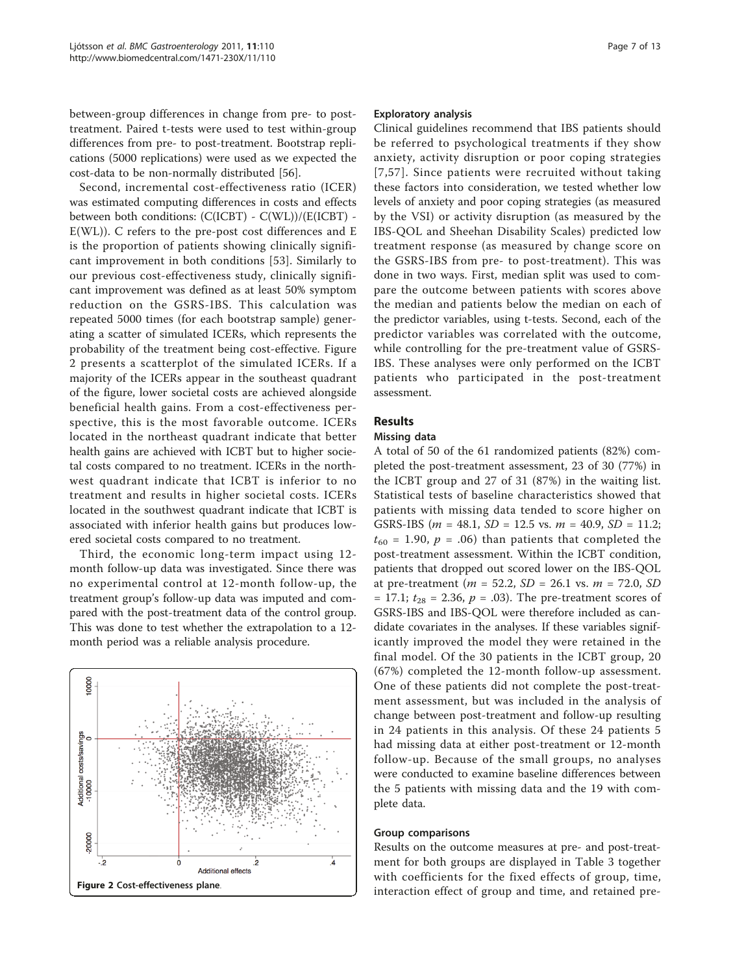<span id="page-6-0"></span>between-group differences in change from pre- to posttreatment. Paired t-tests were used to test within-group differences from pre- to post-treatment. Bootstrap replications (5000 replications) were used as we expected the cost-data to be non-normally distributed [\[56](#page-11-0)].

Second, incremental cost-effectiveness ratio (ICER) was estimated computing differences in costs and effects between both conditions: (C(ICBT) - C(WL))/(E(ICBT) - E(WL)). C refers to the pre-post cost differences and E is the proportion of patients showing clinically significant improvement in both conditions [[53\]](#page-11-0). Similarly to our previous cost-effectiveness study, clinically significant improvement was defined as at least 50% symptom reduction on the GSRS-IBS. This calculation was repeated 5000 times (for each bootstrap sample) generating a scatter of simulated ICERs, which represents the probability of the treatment being cost-effective. Figure 2 presents a scatterplot of the simulated ICERs. If a majority of the ICERs appear in the southeast quadrant of the figure, lower societal costs are achieved alongside beneficial health gains. From a cost-effectiveness perspective, this is the most favorable outcome. ICERs located in the northeast quadrant indicate that better health gains are achieved with ICBT but to higher societal costs compared to no treatment. ICERs in the northwest quadrant indicate that ICBT is inferior to no treatment and results in higher societal costs. ICERs located in the southwest quadrant indicate that ICBT is associated with inferior health gains but produces lowered societal costs compared to no treatment.

Third, the economic long-term impact using 12 month follow-up data was investigated. Since there was no experimental control at 12-month follow-up, the treatment group's follow-up data was imputed and compared with the post-treatment data of the control group. This was done to test whether the extrapolation to a 12 month period was a reliable analysis procedure.



#### Exploratory analysis

Clinical guidelines recommend that IBS patients should be referred to psychological treatments if they show anxiety, activity disruption or poor coping strategies [[7,](#page-10-0)[57\]](#page-11-0). Since patients were recruited without taking these factors into consideration, we tested whether low levels of anxiety and poor coping strategies (as measured by the VSI) or activity disruption (as measured by the IBS-QOL and Sheehan Disability Scales) predicted low treatment response (as measured by change score on the GSRS-IBS from pre- to post-treatment). This was done in two ways. First, median split was used to compare the outcome between patients with scores above the median and patients below the median on each of the predictor variables, using t-tests. Second, each of the predictor variables was correlated with the outcome, while controlling for the pre-treatment value of GSRS-IBS. These analyses were only performed on the ICBT patients who participated in the post-treatment assessment.

# **Results**

# Missing data

A total of 50 of the 61 randomized patients (82%) completed the post-treatment assessment, 23 of 30 (77%) in the ICBT group and 27 of 31 (87%) in the waiting list. Statistical tests of baseline characteristics showed that patients with missing data tended to score higher on GSRS-IBS ( $m = 48.1$ ,  $SD = 12.5$  vs.  $m = 40.9$ ,  $SD = 11.2$ ;  $t_{60}$  = 1.90,  $p$  = .06) than patients that completed the post-treatment assessment. Within the ICBT condition, patients that dropped out scored lower on the IBS-QOL at pre-treatment (*m* = 52.2, *SD* = 26.1 vs. *m* = 72.0, *SD* = 17.1;  $t_{28}$  = 2.36,  $p$  = .03). The pre-treatment scores of GSRS-IBS and IBS-QOL were therefore included as candidate covariates in the analyses. If these variables significantly improved the model they were retained in the final model. Of the 30 patients in the ICBT group, 20 (67%) completed the 12-month follow-up assessment. One of these patients did not complete the post-treatment assessment, but was included in the analysis of change between post-treatment and follow-up resulting in 24 patients in this analysis. Of these 24 patients 5 had missing data at either post-treatment or 12-month follow-up. Because of the small groups, no analyses were conducted to examine baseline differences between the 5 patients with missing data and the 19 with complete data.

#### Group comparisons

Results on the outcome measures at pre- and post-treatment for both groups are displayed in Table [3](#page-7-0) together with coefficients for the fixed effects of group, time,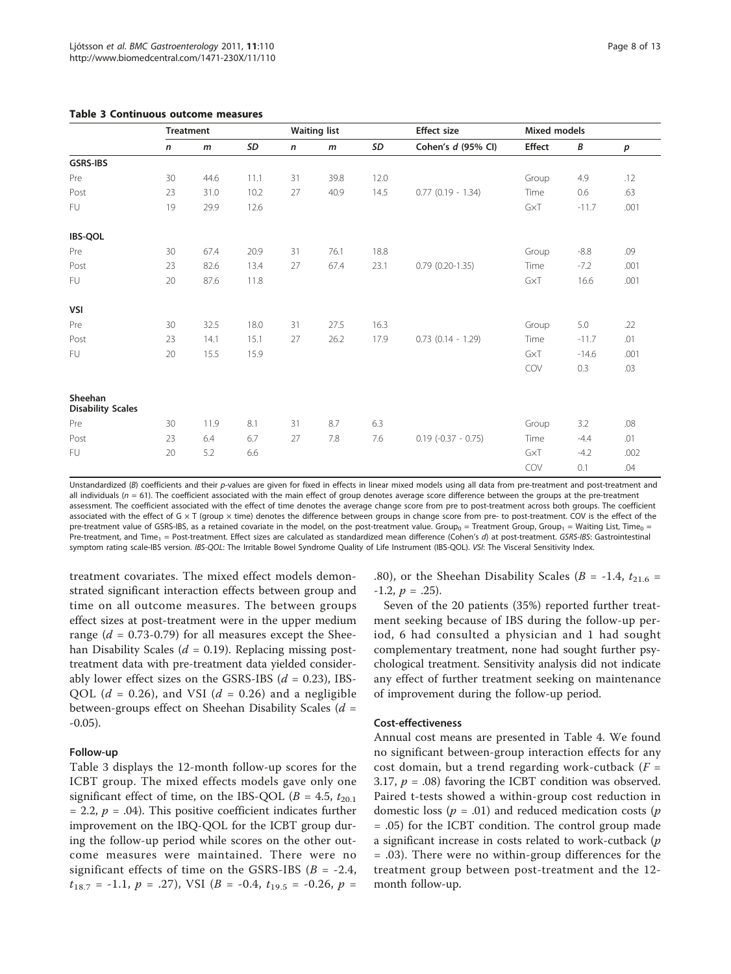|                                     | <b>Treatment</b> |      |      | <b>Waiting list</b> |      |      | <b>Effect size</b>     | <b>Mixed models</b> |         |                  |
|-------------------------------------|------------------|------|------|---------------------|------|------|------------------------|---------------------|---------|------------------|
|                                     | $\boldsymbol{n}$ | m    | SD   | $\mathsf{n}$        | m    | SD   | Cohen's d (95% CI)     | <b>Effect</b>       | B       | $\boldsymbol{p}$ |
| GSRS-IBS                            |                  |      |      |                     |      |      |                        |                     |         |                  |
| Pre                                 | 30               | 44.6 | 11.1 | 31                  | 39.8 | 12.0 |                        | Group               | 4.9     | .12              |
| Post                                | 23               | 31.0 | 10.2 | 27                  | 40.9 | 14.5 | $0.77$ $(0.19 - 1.34)$ | Time                | 0.6     | .63              |
| <b>FU</b>                           | 19               | 29.9 | 12.6 |                     |      |      |                        | GxT                 | $-11.7$ | .001             |
| <b>IBS-QOL</b>                      |                  |      |      |                     |      |      |                        |                     |         |                  |
| Pre                                 | 30               | 67.4 | 20.9 | 31                  | 76.1 | 18.8 |                        | Group               | $-8.8$  | .09              |
| Post                                | 23               | 82.6 | 13.4 | 27                  | 67.4 | 23.1 | $0.79$ $(0.20-1.35)$   | Time                | $-7.2$  | .001             |
| FU                                  | 20               | 87.6 | 11.8 |                     |      |      |                        | GxT                 | 16.6    | .001             |
| <b>VSI</b>                          |                  |      |      |                     |      |      |                        |                     |         |                  |
| Pre                                 | 30               | 32.5 | 18.0 | 31                  | 27.5 | 16.3 |                        | Group               | 5.0     | .22              |
| Post                                | 23               | 14.1 | 15.1 | 27                  | 26.2 | 17.9 | $0.73$ $(0.14 - 1.29)$ | Time                | $-11.7$ | .01              |
| FU                                  | 20               | 15.5 | 15.9 |                     |      |      |                        | GxT                 | $-14.6$ | .001             |
|                                     |                  |      |      |                     |      |      |                        | COV                 | 0.3     | .03              |
| Sheehan<br><b>Disability Scales</b> |                  |      |      |                     |      |      |                        |                     |         |                  |
| Pre                                 | 30               | 11.9 | 8.1  | 31                  | 8.7  | 6.3  |                        | Group               | 3.2     | .08              |
| Post                                | 23               | 6.4  | 6.7  | 27                  | 7.8  | 7.6  | $0.19$ (-0.37 - 0.75)  | Time                | $-4.4$  | .01              |
| <b>FU</b>                           | 20               | 5.2  | 6.6  |                     |      |      |                        | GxT                 | $-4.2$  | .002             |
|                                     |                  |      |      |                     |      |      |                        | COV                 | 0.1     | .04              |

# <span id="page-7-0"></span>Table 3 Continuous outcome measures

Unstandardized (B) coefficients and their p-values are given for fixed in effects in linear mixed models using all data from pre-treatment and post-treatment and all individuals ( $n = 61$ ). The coefficient associated with the main effect of group denotes average score difference between the groups at the pre-treatment assessment. The coefficient associated with the effect of time denotes the average change score from pre to post-treatment across both groups. The coefficient associated with the effect of G  $\times$  T (group  $\times$  time) denotes the difference between groups in change score from pre- to post-treatment. COV is the effect of the pre-treatment value of GSRS-IBS, as a retained covariate in the model, on the post-treatment value. Group<sub>0</sub> = Treatment Group, Group<sub>1</sub> = Waiting List, Time<sub>0</sub> = Pre-treatment, and Time<sub>1</sub> = Post-treatment. Effect sizes are calculated as standardized mean difference (Cohen's d) at post-treatment. GSRS-IBS: Gastrointestinal symptom rating scale-IBS version. IBS-QOL: The Irritable Bowel Syndrome Quality of Life Instrument (IBS-QOL). VSI: The Visceral Sensitivity Index.

treatment covariates. The mixed effect models demonstrated significant interaction effects between group and time on all outcome measures. The between groups effect sizes at post-treatment were in the upper medium range ( $d = 0.73$ -0.79) for all measures except the Sheehan Disability Scales ( $d = 0.19$ ). Replacing missing posttreatment data with pre-treatment data yielded considerably lower effect sizes on the GSRS-IBS  $(d = 0.23)$ , IBS-QOL ( $d = 0.26$ ), and VSI ( $d = 0.26$ ) and a negligible between-groups effect on Sheehan Disability Scales ( $d =$ -0.05).

# Follow-up

Table 3 displays the 12-month follow-up scores for the ICBT group. The mixed effects models gave only one significant effect of time, on the IBS-QOL ( $B = 4.5$ ,  $t_{20.1}$ )  $= 2.2, p = .04$ ). This positive coefficient indicates further improvement on the IBQ-QOL for the ICBT group during the follow-up period while scores on the other outcome measures were maintained. There were no significant effects of time on the GSRS-IBS ( $B = -2.4$ ,  $t_{18.7} = -1.1, p = .27$ , VSI ( $B = -0.4, t_{19.5} = -0.26, p =$ 

.80), or the Sheehan Disability Scales ( $B = -1.4$ ,  $t_{21.6} =$  $-1.2, p = .25$ ).

Seven of the 20 patients (35%) reported further treatment seeking because of IBS during the follow-up period, 6 had consulted a physician and 1 had sought complementary treatment, none had sought further psychological treatment. Sensitivity analysis did not indicate any effect of further treatment seeking on maintenance of improvement during the follow-up period.

#### Cost-effectiveness

Annual cost means are presented in Table [4](#page-8-0). We found no significant between-group interaction effects for any cost domain, but a trend regarding work-cutback  $(F =$ 3.17,  $p = .08$ ) favoring the ICBT condition was observed. Paired t-tests showed a within-group cost reduction in domestic loss ( $p = .01$ ) and reduced medication costs ( $p$ ) = .05) for the ICBT condition. The control group made a significant increase in costs related to work-cutback (p = .03). There were no within-group differences for the treatment group between post-treatment and the 12 month follow-up.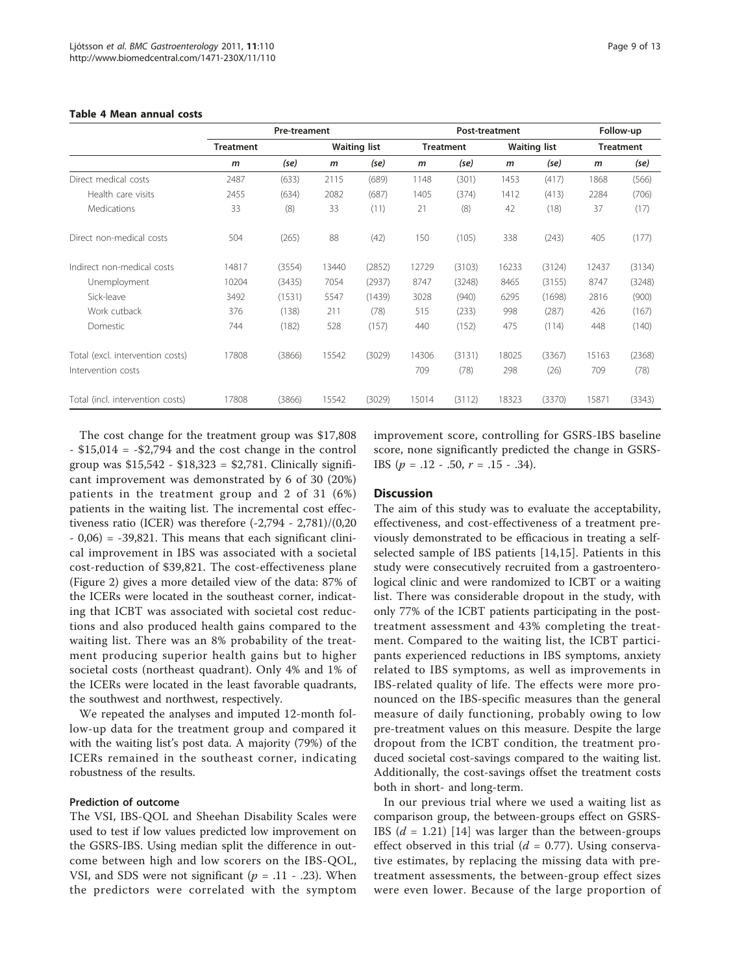#### <span id="page-8-0"></span>Table 4 Mean annual costs

|                                  | <b>Pre-treament</b> |        |                     |        | Post-treatment   |        |                     |        | Follow-up        |        |
|----------------------------------|---------------------|--------|---------------------|--------|------------------|--------|---------------------|--------|------------------|--------|
|                                  | <b>Treatment</b>    |        | <b>Waiting list</b> |        | <b>Treatment</b> |        | <b>Waiting list</b> |        | <b>Treatment</b> |        |
|                                  | $\mathsf{m}$        | (se)   | $m$                 | (se)   | $\mathsf{m}$     | (se)   | m                   | (se)   | $\mathsf{m}$     | (se)   |
| Direct medical costs             | 2487                | (633)  | 2115                | (689)  | 1148             | (301)  | 1453                | (417)  | 1868             | (566)  |
| Health care visits               | 2455                | (634)  | 2082                | (687)  | 1405             | (374)  | 1412                | (413)  | 2284             | (706)  |
| Medications                      | 33                  | (8)    | 33                  | (11)   | 21               | (8)    | 42                  | (18)   | 37               | (17)   |
| Direct non-medical costs         | 504                 | (265)  | 88                  | (42)   | 150              | (105)  | 338                 | (243)  | 405              | (177)  |
| Indirect non-medical costs       | 14817               | (3554) | 13440               | (2852) | 12729            | (3103) | 16233               | (3124) | 12437            | (3134) |
| Unemployment                     | 10204               | (3435) | 7054                | (2937) | 8747             | (3248) | 8465                | (3155) | 8747             | (3248) |
| Sick-leave                       | 3492                | (1531) | 5547                | (1439) | 3028             | (940)  | 6295                | (1698) | 2816             | (900)  |
| Work cutback                     | 376                 | (138)  | 211                 | (78)   | 515              | (233)  | 998                 | (287)  | 426              | (167)  |
| Domestic                         | 744                 | (182)  | 528                 | (157)  | 440              | (152)  | 475                 | (114)  | 448              | (140)  |
| Total (excl. intervention costs) | 17808               | (3866) | 15542               | (3029) | 14306            | (3131) | 18025               | (3367) | 15163            | (2368) |
| Intervention costs               |                     |        |                     |        | 709              | (78)   | 298                 | (26)   | 709              | (78)   |
| Total (incl. intervention costs) | 17808               | (3866) | 15542               | (3029) | 15014            | (3112) | 18323               | (3370) | 15871            | (3343) |

The cost change for the treatment group was \$17,808  $-$  \$15,014 =  $-$ \$2,794 and the cost change in the control group was \$15,542 - \$18,323 = \$2,781. Clinically significant improvement was demonstrated by 6 of 30 (20%) patients in the treatment group and 2 of 31 (6%) patients in the waiting list. The incremental cost effectiveness ratio (ICER) was therefore  $(-2,794 - 2,781)/(0,20)$  $- 0.06$ ) =  $-39,821$ . This means that each significant clinical improvement in IBS was associated with a societal cost-reduction of \$39,821. The cost-effectiveness plane (Figure [2\)](#page-6-0) gives a more detailed view of the data: 87% of the ICERs were located in the southeast corner, indicating that ICBT was associated with societal cost reductions and also produced health gains compared to the waiting list. There was an 8% probability of the treatment producing superior health gains but to higher societal costs (northeast quadrant). Only 4% and 1% of the ICERs were located in the least favorable quadrants, the southwest and northwest, respectively.

We repeated the analyses and imputed 12-month follow-up data for the treatment group and compared it with the waiting list's post data. A majority (79%) of the ICERs remained in the southeast corner, indicating robustness of the results.

# Prediction of outcome

The VSI, IBS-QOL and Sheehan Disability Scales were used to test if low values predicted low improvement on the GSRS-IBS. Using median split the difference in outcome between high and low scorers on the IBS-QOL, VSI, and SDS were not significant ( $p = .11 - .23$ ). When the predictors were correlated with the symptom improvement score, controlling for GSRS-IBS baseline score, none significantly predicted the change in GSRS-IBS ( $p = .12 - .50$ ,  $r = .15 - .34$ ).

# **Discussion**

The aim of this study was to evaluate the acceptability, effectiveness, and cost-effectiveness of a treatment previously demonstrated to be efficacious in treating a selfselected sample of IBS patients [[14,15\]](#page-10-0). Patients in this study were consecutively recruited from a gastroenterological clinic and were randomized to ICBT or a waiting list. There was considerable dropout in the study, with only 77% of the ICBT patients participating in the posttreatment assessment and 43% completing the treatment. Compared to the waiting list, the ICBT participants experienced reductions in IBS symptoms, anxiety related to IBS symptoms, as well as improvements in IBS-related quality of life. The effects were more pronounced on the IBS-specific measures than the general measure of daily functioning, probably owing to low pre-treatment values on this measure. Despite the large dropout from the ICBT condition, the treatment produced societal cost-savings compared to the waiting list. Additionally, the cost-savings offset the treatment costs both in short- and long-term.

In our previous trial where we used a waiting list as comparison group, the between-groups effect on GSRS-IBS  $(d = 1.21)$  [[14\]](#page-10-0) was larger than the between-groups effect observed in this trial  $(d = 0.77)$ . Using conservative estimates, by replacing the missing data with pretreatment assessments, the between-group effect sizes were even lower. Because of the large proportion of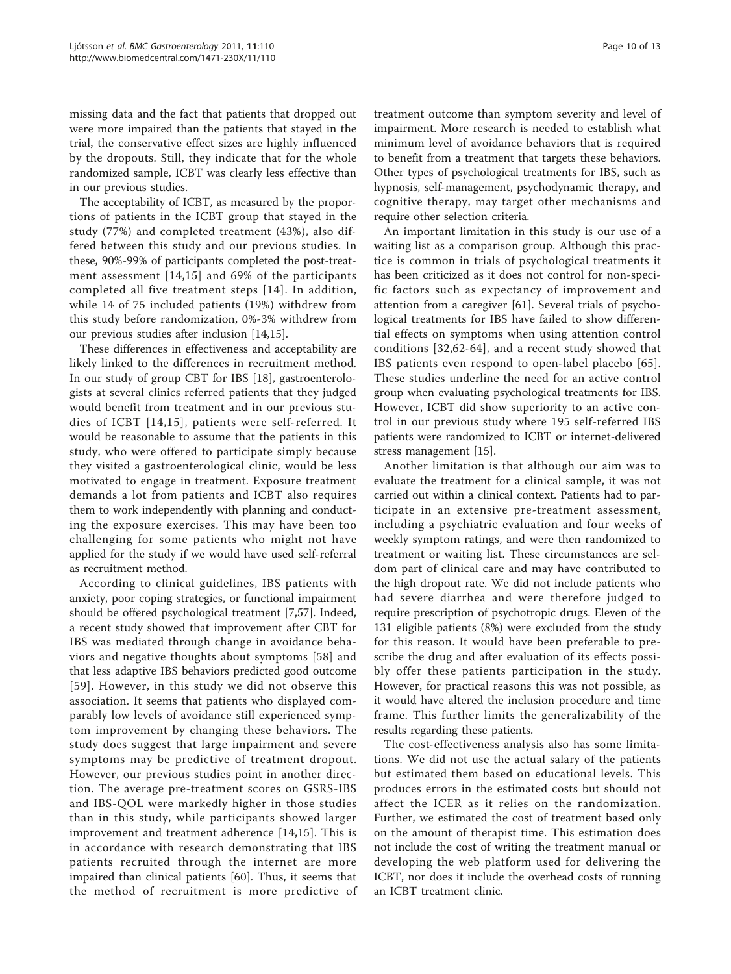missing data and the fact that patients that dropped out were more impaired than the patients that stayed in the trial, the conservative effect sizes are highly influenced by the dropouts. Still, they indicate that for the whole randomized sample, ICBT was clearly less effective than in our previous studies.

The acceptability of ICBT, as measured by the proportions of patients in the ICBT group that stayed in the study (77%) and completed treatment (43%), also differed between this study and our previous studies. In these, 90%-99% of participants completed the post-treatment assessment [[14,15](#page-10-0)] and 69% of the participants completed all five treatment steps [[14](#page-10-0)]. In addition, while 14 of 75 included patients (19%) withdrew from this study before randomization, 0%-3% withdrew from our previous studies after inclusion [[14,15\]](#page-10-0).

These differences in effectiveness and acceptability are likely linked to the differences in recruitment method. In our study of group CBT for IBS [\[18\]](#page-10-0), gastroenterologists at several clinics referred patients that they judged would benefit from treatment and in our previous studies of ICBT [[14](#page-10-0),[15\]](#page-10-0), patients were self-referred. It would be reasonable to assume that the patients in this study, who were offered to participate simply because they visited a gastroenterological clinic, would be less motivated to engage in treatment. Exposure treatment demands a lot from patients and ICBT also requires them to work independently with planning and conducting the exposure exercises. This may have been too challenging for some patients who might not have applied for the study if we would have used self-referral as recruitment method.

According to clinical guidelines, IBS patients with anxiety, poor coping strategies, or functional impairment should be offered psychological treatment [\[7](#page-10-0)[,57](#page-11-0)]. Indeed, a recent study showed that improvement after CBT for IBS was mediated through change in avoidance behaviors and negative thoughts about symptoms [[58](#page-11-0)] and that less adaptive IBS behaviors predicted good outcome [[59\]](#page-11-0). However, in this study we did not observe this association. It seems that patients who displayed comparably low levels of avoidance still experienced symptom improvement by changing these behaviors. The study does suggest that large impairment and severe symptoms may be predictive of treatment dropout. However, our previous studies point in another direction. The average pre-treatment scores on GSRS-IBS and IBS-QOL were markedly higher in those studies than in this study, while participants showed larger improvement and treatment adherence [[14](#page-10-0),[15\]](#page-10-0). This is in accordance with research demonstrating that IBS patients recruited through the internet are more impaired than clinical patients [[60\]](#page-11-0). Thus, it seems that the method of recruitment is more predictive of

treatment outcome than symptom severity and level of impairment. More research is needed to establish what minimum level of avoidance behaviors that is required to benefit from a treatment that targets these behaviors. Other types of psychological treatments for IBS, such as hypnosis, self-management, psychodynamic therapy, and cognitive therapy, may target other mechanisms and require other selection criteria.

An important limitation in this study is our use of a waiting list as a comparison group. Although this practice is common in trials of psychological treatments it has been criticized as it does not control for non-specific factors such as expectancy of improvement and attention from a caregiver [[61\]](#page-11-0). Several trials of psychological treatments for IBS have failed to show differential effects on symptoms when using attention control conditions [\[32,62](#page-11-0)-[64](#page-12-0)], and a recent study showed that IBS patients even respond to open-label placebo [[65\]](#page-12-0). These studies underline the need for an active control group when evaluating psychological treatments for IBS. However, ICBT did show superiority to an active control in our previous study where 195 self-referred IBS patients were randomized to ICBT or internet-delivered stress management [\[15](#page-10-0)].

Another limitation is that although our aim was to evaluate the treatment for a clinical sample, it was not carried out within a clinical context. Patients had to participate in an extensive pre-treatment assessment, including a psychiatric evaluation and four weeks of weekly symptom ratings, and were then randomized to treatment or waiting list. These circumstances are seldom part of clinical care and may have contributed to the high dropout rate. We did not include patients who had severe diarrhea and were therefore judged to require prescription of psychotropic drugs. Eleven of the 131 eligible patients (8%) were excluded from the study for this reason. It would have been preferable to prescribe the drug and after evaluation of its effects possibly offer these patients participation in the study. However, for practical reasons this was not possible, as it would have altered the inclusion procedure and time frame. This further limits the generalizability of the results regarding these patients.

The cost-effectiveness analysis also has some limitations. We did not use the actual salary of the patients but estimated them based on educational levels. This produces errors in the estimated costs but should not affect the ICER as it relies on the randomization. Further, we estimated the cost of treatment based only on the amount of therapist time. This estimation does not include the cost of writing the treatment manual or developing the web platform used for delivering the ICBT, nor does it include the overhead costs of running an ICBT treatment clinic.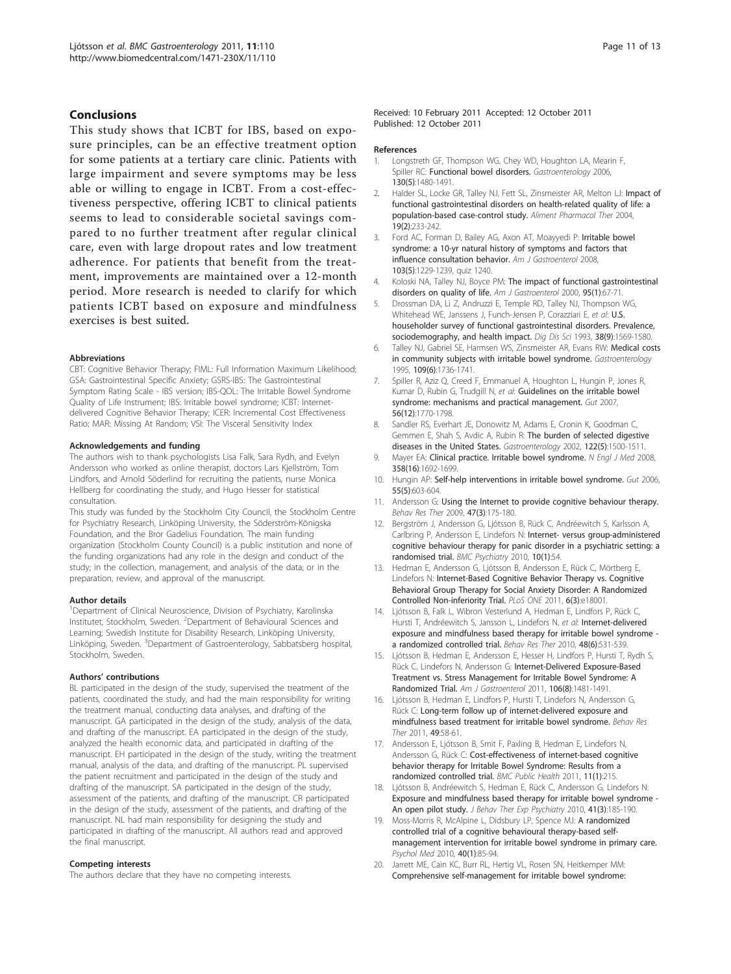# <span id="page-10-0"></span>Conclusions

This study shows that ICBT for IBS, based on exposure principles, can be an effective treatment option for some patients at a tertiary care clinic. Patients with large impairment and severe symptoms may be less able or willing to engage in ICBT. From a cost-effectiveness perspective, offering ICBT to clinical patients seems to lead to considerable societal savings compared to no further treatment after regular clinical care, even with large dropout rates and low treatment adherence. For patients that benefit from the treatment, improvements are maintained over a 12-month period. More research is needed to clarify for which patients ICBT based on exposure and mindfulness exercises is best suited.

#### Abbreviations

CBT: Cognitive Behavior Therapy; FIML: Full Information Maximum Likelihood; GSA: Gastrointestinal Specific Anxiety; GSRS-IBS: The Gastrointestinal Symptom Rating Scale - IBS version; IBS-QOL: The Irritable Bowel Syndrome Quality of Life Instrument; IBS: Irritable bowel syndrome; ICBT: Internetdelivered Cognitive Behavior Therapy; ICER: Incremental Cost Effectiveness Ratio; MAR: Missing At Random; VSI: The Visceral Sensitivity Index

#### Acknowledgements and funding

The authors wish to thank psychologists Lisa Falk, Sara Rydh, and Evelyn Andersson who worked as online therapist, doctors Lars Kjellström, Tom Lindfors, and Arnold Söderlind for recruiting the patients, nurse Monica Hellberg for coordinating the study, and Hugo Hesser for statistical consultation.

This study was funded by the Stockholm City Council, the Stockholm Centre for Psychiatry Research, Linköping University, the Söderström-Königska Foundation, and the Bror Gadelius Foundation. The main funding organization (Stockholm County Council) is a public institution and none of the funding organizations had any role in the design and conduct of the study; in the collection, management, and analysis of the data; or in the preparation, review, and approval of the manuscript.

#### Author details

<sup>1</sup>Department of Clinical Neuroscience, Division of Psychiatry, Karolinska Institutet, Stockholm, Sweden. <sup>2</sup>Department of Behavioural Sciences and Learning; Swedish Institute for Disability Research, Linköping University, Linköping, Sweden. <sup>3</sup>Department of Gastroenterology, Sabbatsberg hospital, Stockholm, Sweden.

#### Authors' contributions

BL participated in the design of the study, supervised the treatment of the patients, coordinated the study, and had the main responsibility for writing the treatment manual, conducting data analyses, and drafting of the manuscript. GA participated in the design of the study, analysis of the data, and drafting of the manuscript. EA participated in the design of the study, analyzed the health economic data, and participated in drafting of the manuscript. EH participated in the design of the study, writing the treatment manual, analysis of the data, and drafting of the manuscript. PL supervised the patient recruitment and participated in the design of the study and drafting of the manuscript. SA participated in the design of the study, assessment of the patients, and drafting of the manuscript. CR participated in the design of the study, assessment of the patients, and drafting of the manuscript. NL had main responsibility for designing the study and participated in drafting of the manuscript. All authors read and approved the final manuscript.

#### Competing interests

The authors declare that they have no competing interests.

Page 11 of 13

Received: 10 February 2011 Accepted: 12 October 2011 Published: 12 October 2011

#### References

- 1. Longstreth GF, Thompson WG, Chey WD, Houghton LA, Mearin F, Spiller RC: [Functional bowel disorders.](http://www.ncbi.nlm.nih.gov/pubmed/16678561?dopt=Abstract) Gastroenterology 2006, 130(5):1480-1491.
- 2. Halder SL, Locke GR, Talley NJ, Fett SL, Zinsmeister AR, Melton LJ: [Impact of](http://www.ncbi.nlm.nih.gov/pubmed/14723614?dopt=Abstract) [functional gastrointestinal disorders on health-related quality of life: a](http://www.ncbi.nlm.nih.gov/pubmed/14723614?dopt=Abstract) [population-based case-control study.](http://www.ncbi.nlm.nih.gov/pubmed/14723614?dopt=Abstract) Aliment Pharmacol Ther 2004, 19(2):233-242.
- Ford AC, Forman D, Bailey AG, Axon AT, Moayyedi P: [Irritable bowel](http://www.ncbi.nlm.nih.gov/pubmed/18371141?dopt=Abstract) [syndrome: a 10-yr natural history of symptoms and factors that](http://www.ncbi.nlm.nih.gov/pubmed/18371141?dopt=Abstract) [influence consultation behavior.](http://www.ncbi.nlm.nih.gov/pubmed/18371141?dopt=Abstract) Am J Gastroenterol 2008, 103(5):1229-1239, quiz 1240.
- Koloski NA, Talley NJ, Boyce PM: [The impact of functional gastrointestinal](http://www.ncbi.nlm.nih.gov/pubmed/10638561?dopt=Abstract) [disorders on quality of life.](http://www.ncbi.nlm.nih.gov/pubmed/10638561?dopt=Abstract) Am J Gastroenterol 2000, 95(1):67-71.
- 5. Drossman DA, Li Z, Andruzzi E, Temple RD, Talley NJ, Thompson WG, Whitehead WE, Janssens J, Funch-Jensen P, Corazziari E, et al: [U.S.](http://www.ncbi.nlm.nih.gov/pubmed/8359066?dopt=Abstract) [householder survey of functional gastrointestinal disorders. Prevalence,](http://www.ncbi.nlm.nih.gov/pubmed/8359066?dopt=Abstract) [sociodemography, and health impact.](http://www.ncbi.nlm.nih.gov/pubmed/8359066?dopt=Abstract) Dig Dis Sci 1993, 38(9):1569-1580.
- 6. Talley NJ, Gabriel SE, Harmsen WS, Zinsmeister AR, Evans RW: [Medical costs](http://www.ncbi.nlm.nih.gov/pubmed/7498636?dopt=Abstract) [in community subjects with irritable bowel syndrome.](http://www.ncbi.nlm.nih.gov/pubmed/7498636?dopt=Abstract) Gastroenterology 1995, 109(6):1736-1741.
- 7. Spiller R, Aziz Q, Creed F, Emmanuel A, Houghton L, Hungin P, Jones R, Kumar D, Rubin G, Trudgill N, et al: [Guidelines on the irritable bowel](http://www.ncbi.nlm.nih.gov/pubmed/17488783?dopt=Abstract) [syndrome: mechanisms and practical management.](http://www.ncbi.nlm.nih.gov/pubmed/17488783?dopt=Abstract) Gut 2007, 56(12):1770-1798.
- 8. Sandler RS, Everhart JE, Donowitz M, Adams E, Cronin K, Goodman C, Gemmen E, Shah S, Avdic A, Rubin R: [The burden of selected digestive](http://www.ncbi.nlm.nih.gov/pubmed/11984534?dopt=Abstract) [diseases in the United States.](http://www.ncbi.nlm.nih.gov/pubmed/11984534?dopt=Abstract) Gastroenterology 2002, 122(5):1500-1511.
- 9. Mayer EA: [Clinical practice. Irritable bowel syndrome.](http://www.ncbi.nlm.nih.gov/pubmed/18420501?dopt=Abstract) N Engl J Med 2008, 358(16):1692-1699.
- 10. Hungin AP: [Self-help interventions in irritable bowel syndrome.](http://www.ncbi.nlm.nih.gov/pubmed/16609132?dopt=Abstract) Gut 2006, 55(5):603-604.
- 11. Andersson G: [Using the Internet to provide cognitive behaviour therapy.](http://www.ncbi.nlm.nih.gov/pubmed/19230862?dopt=Abstract) Behav Res Ther 2009, 47(3):175-180.
- 12. Bergström J, Andersson G, Ljótsson B, Rück C, Andréewitch S, Karlsson A, Carlbring P, Andersson E, Lindefors N: [Internet- versus group-administered](http://www.ncbi.nlm.nih.gov/pubmed/20598127?dopt=Abstract) [cognitive behaviour therapy for panic disorder in a psychiatric setting: a](http://www.ncbi.nlm.nih.gov/pubmed/20598127?dopt=Abstract) [randomised trial.](http://www.ncbi.nlm.nih.gov/pubmed/20598127?dopt=Abstract) BMC Psychiatry 2010, 10(1):54.
- 13. Hedman E, Andersson G, Ljótsson B, Andersson E, Rück C, Mörtberg E, Lindefors N: [Internet-Based Cognitive Behavior Therapy vs. Cognitive](http://www.ncbi.nlm.nih.gov/pubmed/21483704?dopt=Abstract) [Behavioral Group Therapy for Social Anxiety Disorder: A Randomized](http://www.ncbi.nlm.nih.gov/pubmed/21483704?dopt=Abstract) [Controlled Non-inferiority Trial.](http://www.ncbi.nlm.nih.gov/pubmed/21483704?dopt=Abstract) PLoS ONE 2011, 6(3):e18001.
- 14. Ljótsson B, Falk L, Wibron Vesterlund A, Hedman E, Lindfors P, Rück C, Hursti T, Andréewitch S, Jansson L, Lindefors N, et al: [Internet-delivered](http://www.ncbi.nlm.nih.gov/pubmed/20362976?dopt=Abstract) exposure [and mindfulness based therapy for irritable bowel syndrome](http://www.ncbi.nlm.nih.gov/pubmed/20362976?dopt=Abstract)  [a randomized controlled trial.](http://www.ncbi.nlm.nih.gov/pubmed/20362976?dopt=Abstract) Behav Res Ther 2010, 48(6):531-539.
- 15. Ljótsson B, Hedman E, Andersson E, Hesser H, Lindfors P, Hursti T, Rydh S, Rück C, Lindefors N, Andersson G: [Internet-Delivered Exposure-Based](http://www.ncbi.nlm.nih.gov/pubmed/21537360?dopt=Abstract) [Treatment vs. Stress Management for Irritable Bowel Syndrome: A](http://www.ncbi.nlm.nih.gov/pubmed/21537360?dopt=Abstract) [Randomized Trial.](http://www.ncbi.nlm.nih.gov/pubmed/21537360?dopt=Abstract) Am J Gastroenterol 2011, 106(8):1481-1491.
- 16. Ljótsson B, Hedman E, Lindfors P, Hursti T, Lindefors N, Andersson G, Rück C: [Long-term follow up of internet-delivered exposure and](http://www.ncbi.nlm.nih.gov/pubmed/21092934?dopt=Abstract) [mindfulness based treatment for irritable bowel syndrome.](http://www.ncbi.nlm.nih.gov/pubmed/21092934?dopt=Abstract) Behav Res Ther 2011, 49:58-61.
- 17. Andersson E, Ljótsson B, Smit F, Paxling B, Hedman E, Lindefors N, Andersson G, Rück C: [Cost-effectiveness of internet-based cognitive](http://www.ncbi.nlm.nih.gov/pubmed/21473754?dopt=Abstract) [behavior therapy for Irritable Bowel Syndrome: Results from a](http://www.ncbi.nlm.nih.gov/pubmed/21473754?dopt=Abstract) [randomized controlled trial.](http://www.ncbi.nlm.nih.gov/pubmed/21473754?dopt=Abstract) BMC Public Health 2011, 11(1):215.
- 18. Ljótsson B, Andréewitch S, Hedman E, Rück C, Andersson G, Lindefors N: [Exposure and mindfulness based therapy for irritable bowel syndrome -](http://www.ncbi.nlm.nih.gov/pubmed/20079485?dopt=Abstract) [An open pilot study.](http://www.ncbi.nlm.nih.gov/pubmed/20079485?dopt=Abstract) J Behav Ther Exp Psychiatry 2010, 41(3):185-190.
- 19. Moss-Morris R, McAlpine L, Didsbury LP, Spence MJ: [A randomized](http://www.ncbi.nlm.nih.gov/pubmed/19531276?dopt=Abstract) [controlled trial of a cognitive behavioural therapy-based self](http://www.ncbi.nlm.nih.gov/pubmed/19531276?dopt=Abstract)[management intervention for irritable bowel syndrome in primary care.](http://www.ncbi.nlm.nih.gov/pubmed/19531276?dopt=Abstract) Psychol Med 2010, 40(1):85-94.
- 20. Jarrett ME, Cain KC, Burr RL, Hertig VL, Rosen SN, Heitkemper MM: [Comprehensive self-management for irritable bowel syndrome:](http://www.ncbi.nlm.nih.gov/pubmed/19690523?dopt=Abstract)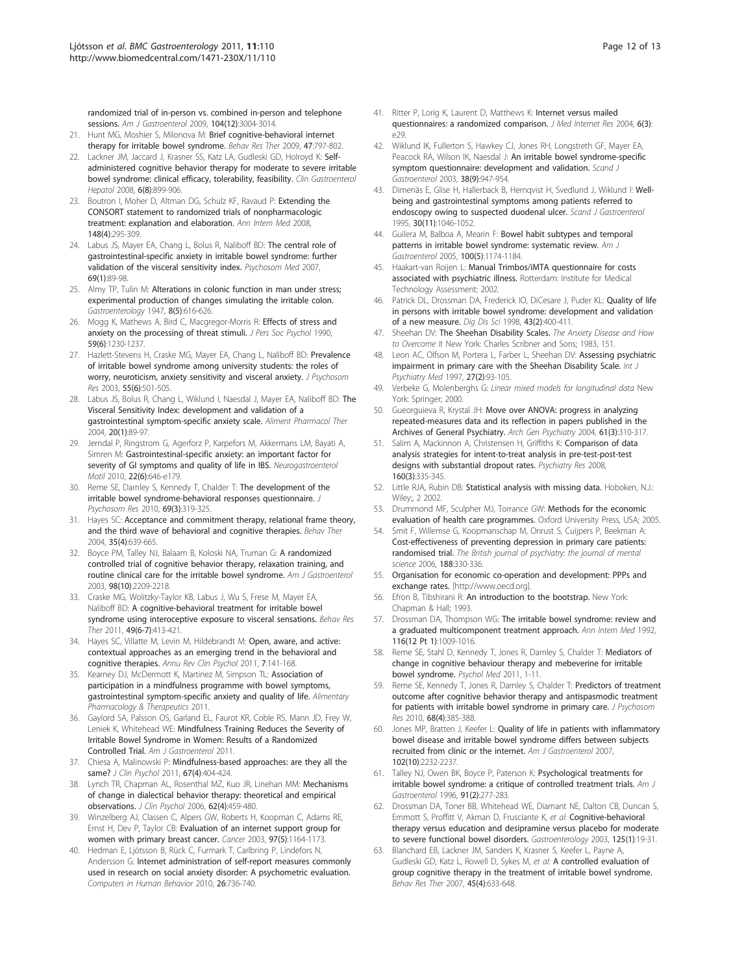<span id="page-11-0"></span>[randomized trial of in-person vs. combined in-person and telephone](http://www.ncbi.nlm.nih.gov/pubmed/19690523?dopt=Abstract) [sessions.](http://www.ncbi.nlm.nih.gov/pubmed/19690523?dopt=Abstract) Am J Gastroenterol 2009, 104(12):3004-3014.

- 21. Hunt MG, Moshier S, Milonova M: [Brief cognitive-behavioral internet](http://www.ncbi.nlm.nih.gov/pubmed/19570525?dopt=Abstract) [therapy for irritable bowel syndrome.](http://www.ncbi.nlm.nih.gov/pubmed/19570525?dopt=Abstract) Behav Res Ther 2009, 47:797-802.
- 22. Lackner JM, Jaccard J, Krasner SS, Katz LA, Gudleski GD, Holroyd K: [Self](http://www.ncbi.nlm.nih.gov/pubmed/18524691?dopt=Abstract)[administered cognitive behavior therapy for moderate to severe irritable](http://www.ncbi.nlm.nih.gov/pubmed/18524691?dopt=Abstract) [bowel syndrome: clinical efficacy, tolerability, feasibility.](http://www.ncbi.nlm.nih.gov/pubmed/18524691?dopt=Abstract) Clin Gastroenterol Hepatol 2008, 6(8):899-906.
- 23. Boutron I, Moher D, Altman DG, Schulz KF, Ravaud P: [Extending the](http://www.ncbi.nlm.nih.gov/pubmed/18283207?dopt=Abstract) [CONSORT statement to randomized trials of nonpharmacologic](http://www.ncbi.nlm.nih.gov/pubmed/18283207?dopt=Abstract) [treatment: explanation and elaboration.](http://www.ncbi.nlm.nih.gov/pubmed/18283207?dopt=Abstract) Ann Intern Med 2008, 148(4):295-309.
- 24. Labus JS, Mayer EA, Chang L, Bolus R, Naliboff BD: [The central role of](http://www.ncbi.nlm.nih.gov/pubmed/17244851?dopt=Abstract) [gastrointestinal-specific anxiety in irritable bowel syndrome: further](http://www.ncbi.nlm.nih.gov/pubmed/17244851?dopt=Abstract) [validation of the visceral sensitivity index.](http://www.ncbi.nlm.nih.gov/pubmed/17244851?dopt=Abstract) Psychosom Med 2007, 69(1):89-98.
- 25. Almy TP, Tulin M: [Alterations in colonic function in man under stress;](http://www.ncbi.nlm.nih.gov/pubmed/20238757?dopt=Abstract) [experimental production of changes simulating the irritable colon.](http://www.ncbi.nlm.nih.gov/pubmed/20238757?dopt=Abstract) Gastroenterology 1947, 8(5):616-626.
- 26. Mogg K, Mathews A, Bird C, Macgregor-Morris R: [Effects of stress and](http://www.ncbi.nlm.nih.gov/pubmed/2283589?dopt=Abstract) [anxiety on the processing of threat stimuli.](http://www.ncbi.nlm.nih.gov/pubmed/2283589?dopt=Abstract) J Pers Soc Psychol 1990, 59(6):1230-1237.
- 27. Hazlett-Stevens H, Craske MG, Mayer EA, Chang L, Naliboff BD: [Prevalence](http://www.ncbi.nlm.nih.gov/pubmed/14642979?dopt=Abstract) [of irritable bowel syndrome among university students: the roles of](http://www.ncbi.nlm.nih.gov/pubmed/14642979?dopt=Abstract) [worry, neuroticism, anxiety sensitivity and visceral anxiety.](http://www.ncbi.nlm.nih.gov/pubmed/14642979?dopt=Abstract) J Psychosom Res 2003, 55(6):501-505.
- 28. Labus JS, Bolus R, Chang L, Wiklund I, Naesdal J, Mayer EA, Naliboff BD: [The](http://www.ncbi.nlm.nih.gov/pubmed/15456470?dopt=Abstract) [Visceral Sensitivity Index: development and validation of a](http://www.ncbi.nlm.nih.gov/pubmed/15456470?dopt=Abstract) [gastrointestinal symptom-specific anxiety scale.](http://www.ncbi.nlm.nih.gov/pubmed/15456470?dopt=Abstract) Aliment Pharmacol Ther 2004, 20(1):89-97.
- 29. Jerndal P, Ringstrom G, Agerforz P, Karpefors M, Akkermans LM, Bayati A, Simren M: [Gastrointestinal-specific anxiety: an important factor for](http://www.ncbi.nlm.nih.gov/pubmed/20367800?dopt=Abstract) [severity of GI symptoms and quality of life in IBS.](http://www.ncbi.nlm.nih.gov/pubmed/20367800?dopt=Abstract) Neurogastroenterol Motil 2010, 22(6):646-e179.
- 30. Reme SE, Darnley S, Kennedy T, Chalder T: [The development of the](http://www.ncbi.nlm.nih.gov/pubmed/20708455?dopt=Abstract) [irritable bowel syndrome-behavioral responses questionnaire.](http://www.ncbi.nlm.nih.gov/pubmed/20708455?dopt=Abstract) J Psychosom Res 2010, 69(3):319-325.
- 31. Hayes SC: Acceptance and commitment therapy, relational frame theory, and the third wave of behavioral and cognitive therapies. Behav Ther 2004, 35(4):639-665.
- 32. Boyce PM, Talley NJ, Balaam B, Koloski NA, Truman G: [A randomized](http://www.ncbi.nlm.nih.gov/pubmed/14572570?dopt=Abstract) [controlled trial of cognitive behavior therapy, relaxation training, and](http://www.ncbi.nlm.nih.gov/pubmed/14572570?dopt=Abstract) [routine clinical care for the irritable bowel syndrome.](http://www.ncbi.nlm.nih.gov/pubmed/14572570?dopt=Abstract) Am J Gastroenterol 2003, 98(10):2209-2218.
- 33. Craske MG, Wolitzky-Taylor KB, Labus J, Wu S, Frese M, Mayer EA, Naliboff BD: [A cognitive-behavioral treatment for irritable bowel](http://www.ncbi.nlm.nih.gov/pubmed/21565328?dopt=Abstract) [syndrome using interoceptive exposure to visceral sensations.](http://www.ncbi.nlm.nih.gov/pubmed/21565328?dopt=Abstract) Behav Res Ther 2011, 49(6-7):413-421.
- 34. Hayes SC, Villatte M, Levin M, Hildebrandt M: [Open, aware, and active:](http://www.ncbi.nlm.nih.gov/pubmed/21219193?dopt=Abstract) [contextual approaches as an emerging trend in the behavioral and](http://www.ncbi.nlm.nih.gov/pubmed/21219193?dopt=Abstract) [cognitive therapies.](http://www.ncbi.nlm.nih.gov/pubmed/21219193?dopt=Abstract) Annu Rev Clin Psychol 2011, 7:141-168.
- 35. Kearney DJ, McDermott K, Martinez M, Simpson TL: [Association of](http://www.ncbi.nlm.nih.gov/pubmed/21997518?dopt=Abstract) [participation in a mindfulness programme with bowel symptoms,](http://www.ncbi.nlm.nih.gov/pubmed/21997518?dopt=Abstract) [gastrointestinal symptom-specific anxiety and quality of life.](http://www.ncbi.nlm.nih.gov/pubmed/21997518?dopt=Abstract) Alimentary Pharmacology & Therapeutics 2011.
- 36. Gaylord SA, Palsson OS, Garland EL, Faurot KR, Coble RS, Mann JD, Frey W, Leniek K, Whitehead WE: Mindfulness Training Reduces the Severity of Irritable Bowel Syndrome in Women: Results of a Randomized Controlled Trial. Am J Gastroenterol 2011.
- 37. Chiesa A, Malinowski P: [Mindfulness-based approaches: are they all the](http://www.ncbi.nlm.nih.gov/pubmed/21254062?dopt=Abstract) [same?](http://www.ncbi.nlm.nih.gov/pubmed/21254062?dopt=Abstract) J Clin Psychol 2011, 67(4):404-424.
- 38. Lynch TR, Chapman AL, Rosenthal MZ, Kuo JR, Linehan MM: [Mechanisms](http://www.ncbi.nlm.nih.gov/pubmed/16470714?dopt=Abstract) [of change in dialectical behavior therapy: theoretical and empirical](http://www.ncbi.nlm.nih.gov/pubmed/16470714?dopt=Abstract) [observations.](http://www.ncbi.nlm.nih.gov/pubmed/16470714?dopt=Abstract) J Clin Psychol 2006, 62(4):459-480.
- 39. Winzelberg AJ, Classen C, Alpers GW, Roberts H, Koopman C, Adams RE, Ernst H, Dev P, Taylor CB: [Evaluation of an internet support group for](http://www.ncbi.nlm.nih.gov/pubmed/12599221?dopt=Abstract) [women with primary breast cancer.](http://www.ncbi.nlm.nih.gov/pubmed/12599221?dopt=Abstract) Cancer 2003, 97(5):1164-1173.
- Hedman E, Ljótsson B, Rück C, Furmark T, Carlbring P, Lindefors N, Andersson G: Internet administration of self-report measures commonly used in research on social anxiety disorder: A psychometric evaluation. Computers in Human Behavior 2010, 26:736-740.
- 41. Ritter P, Lorig K, Laurent D, Matthews K; [Internet versus mailed](http://www.ncbi.nlm.nih.gov/pubmed/15471755?dopt=Abstract) [questionnaires: a randomized comparison.](http://www.ncbi.nlm.nih.gov/pubmed/15471755?dopt=Abstract) J Med Internet Res 2004, 6(3): e29
- 42. Wiklund IK, Fullerton S, Hawkey CJ, Jones RH, Longstreth GF, Mayer EA, Peacock RA, Wilson IK, Naesdal J: [An irritable bowel syndrome-specific](http://www.ncbi.nlm.nih.gov/pubmed/14531531?dopt=Abstract) [symptom questionnaire: development and validation.](http://www.ncbi.nlm.nih.gov/pubmed/14531531?dopt=Abstract) Scand J Gastroenterol 2003, 38(9):947-954.
- 43. Dimenäs E, Glise H, Hallerback B, Hernqvist H, Svedlund J, Wiklund I: [Well](http://www.ncbi.nlm.nih.gov/pubmed/8578162?dopt=Abstract)[being and gastrointestinal symptoms among patients referred to](http://www.ncbi.nlm.nih.gov/pubmed/8578162?dopt=Abstract) [endoscopy owing to suspected duodenal ulcer.](http://www.ncbi.nlm.nih.gov/pubmed/8578162?dopt=Abstract) Scand J Gastroenterol 1995, 30(11):1046-1052.
- 44. Guilera M, Balboa A, Mearin F: [Bowel habit subtypes and temporal](http://www.ncbi.nlm.nih.gov/pubmed/15842596?dopt=Abstract) [patterns in irritable bowel syndrome: systematic review.](http://www.ncbi.nlm.nih.gov/pubmed/15842596?dopt=Abstract) Am J Gastroenterol 2005, 100(5):1174-1184.
- 45. Haakart-van Roijen L: Manual Trimbos/iMTA questionnaire for costs associated with psychiatric illness. Rotterdam: Institute for Medical Technology Assessment; 2002.
- 46. Patrick DL, Drossman DA, Frederick IO, DiCesare J, Puder KL: [Quality of life](http://www.ncbi.nlm.nih.gov/pubmed/9512138?dopt=Abstract) [in persons with irritable bowel syndrome: development and validation](http://www.ncbi.nlm.nih.gov/pubmed/9512138?dopt=Abstract) [of a new measure.](http://www.ncbi.nlm.nih.gov/pubmed/9512138?dopt=Abstract) Dig Dis Sci 1998, 43(2):400-411.
- 47. Sheehan DV: The Sheehan Disability Scales. The Anxiety Disease and How to Overcome It New York: Charles Scribner and Sons; 1983, 151.
- 48. Leon AC, Olfson M, Portera L, Farber L, Sheehan DV: [Assessing psychiatric](http://www.ncbi.nlm.nih.gov/pubmed/9565717?dopt=Abstract) [impairment in primary care with the Sheehan Disability Scale.](http://www.ncbi.nlm.nih.gov/pubmed/9565717?dopt=Abstract) Int J Psychiatry Med 1997, 27(2):93-105.
- 49. Verbeke G, Molenberghs G: Linear mixed models for longitudinal data New York: Springer; 2000.
- 50. Gueorguieva R, Krystal JH: [Move over ANOVA: progress in analyzing](http://www.ncbi.nlm.nih.gov/pubmed/14993119?dopt=Abstract) [repeated-measures data and its reflection in papers published in the](http://www.ncbi.nlm.nih.gov/pubmed/14993119?dopt=Abstract) [Archives of General Psychiatry.](http://www.ncbi.nlm.nih.gov/pubmed/14993119?dopt=Abstract) Arch Gen Psychiatry 2004, 61(3):310-317.
- 51. Salim A, Mackinnon A, Christensen H, Griffiths K: [Comparison of data](http://www.ncbi.nlm.nih.gov/pubmed/18718673?dopt=Abstract) [analysis strategies for intent-to-treat analysis in pre-test-post-test](http://www.ncbi.nlm.nih.gov/pubmed/18718673?dopt=Abstract) [designs with substantial dropout rates.](http://www.ncbi.nlm.nih.gov/pubmed/18718673?dopt=Abstract) Psychiatry Res 2008, 160(3):335-345.
- 52. Little RJA, Rubin DB: Statistical analysis with missing data. Hoboken, N.J.: Wiley;, 2 2002.
- 53. Drummond MF, Sculpher MJ, Torrance GW: Methods for the economic evaluation of health care programmes. Oxford University Press, USA; 2005.
- 54. Smit F, Willemse G, Koopmanschap M, Onrust S, Cuijpers P, Beekman A: Cost-effectiveness of preventing depression in primary care patients: randomised trial. The British journal of psychiatry: the journal of mental science 2006, 188:330-336.
- 55. Organisation for economic co-operation and development: PPPs and exchange rates. [<http://www.oecd.org>].
- 56. Efron B, Tibshirani R: An introduction to the bootstrap. New York: Chapman & Hall; 1993.
- 57. Drossman DA, Thompson WG: [The irritable bowel syndrome: review and](http://www.ncbi.nlm.nih.gov/pubmed/1586090?dopt=Abstract) [a graduated multicomponent treatment approach.](http://www.ncbi.nlm.nih.gov/pubmed/1586090?dopt=Abstract) Ann Intern Med 1992, 116(12 Pt 1):1009-1016.
- 58. Reme SE, Stahl D, Kennedy T, Jones R, Darnley S, Chalder T: Mediators of change in cognitive behaviour therapy and mebeverine for irritable bowel syndrome. Psychol Med 2011, 1-11
- 59. Reme SE, Kennedy T, Jones R, Darnley S, Chalder T: [Predictors of treatment](http://www.ncbi.nlm.nih.gov/pubmed/20307706?dopt=Abstract) [outcome after cognitive behavior therapy and antispasmodic treatment](http://www.ncbi.nlm.nih.gov/pubmed/20307706?dopt=Abstract) [for patients with irritable bowel syndrome in primary care.](http://www.ncbi.nlm.nih.gov/pubmed/20307706?dopt=Abstract) J Psychosom Res 2010, 68(4):385-388.
- 60. Jones MP, Bratten J, Keefer L: [Quality of life in patients with inflammatory](http://www.ncbi.nlm.nih.gov/pubmed/17680842?dopt=Abstract) [bowel disease and irritable bowel syndrome differs between subjects](http://www.ncbi.nlm.nih.gov/pubmed/17680842?dopt=Abstract) [recruited from clinic or the internet.](http://www.ncbi.nlm.nih.gov/pubmed/17680842?dopt=Abstract) Am J Gastroenterol 2007, 102(10):2232-2237.
- 61. Talley NJ, Owen BK, Boyce P, Paterson K: [Psychological treatments for](http://www.ncbi.nlm.nih.gov/pubmed/8607493?dopt=Abstract) [irritable bowel syndrome: a critique of controlled treatment trials.](http://www.ncbi.nlm.nih.gov/pubmed/8607493?dopt=Abstract) Am J Gastroenterol 1996, 91(2):277-283.
- 62. Drossman DA, Toner BB, Whitehead WE, Diamant NE, Dalton CB, Duncan S, Emmott S, Proffitt V, Akman D, Frusciante K, et al: [Cognitive-behavioral](http://www.ncbi.nlm.nih.gov/pubmed/12851867?dopt=Abstract) [therapy versus education and desipramine versus placebo for moderate](http://www.ncbi.nlm.nih.gov/pubmed/12851867?dopt=Abstract) [to severe functional bowel disorders.](http://www.ncbi.nlm.nih.gov/pubmed/12851867?dopt=Abstract) Gastroenterology 2003, 125(1):19-31.
- 63. Blanchard EB, Lackner JM, Sanders K, Krasner S, Keefer L, Payne A, Gudleski GD, Katz L, Rowell D, Sykes M, et al: A [controlled evaluation of](http://www.ncbi.nlm.nih.gov/pubmed/16979581?dopt=Abstract) [group cognitive therapy in the treatment of irritable bowel syndrome.](http://www.ncbi.nlm.nih.gov/pubmed/16979581?dopt=Abstract) Behav Res Ther 2007, 45(4):633-648.